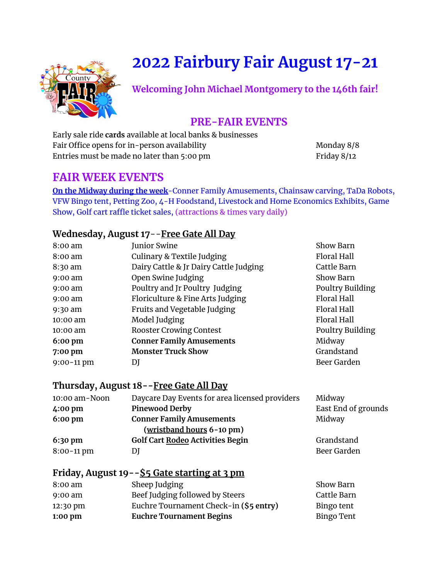# **2022 Fairbury Fair August 17-21**



**Welcoming John Michael Montgomery to the 146th fair!**

## **PRE-FAIR EVENTS**

Early sale ride **cards** available at local banks & businesses Fair Office opens for in-person availability Monday 8/8 Entries must be made no later than 5:00 pm

## **FAIR WEEK EVENTS**

**On the Midway during the week**-Conner Family Amusements, Chainsaw carving, TaDa Robots, VFW Bingo tent, Petting Zoo, 4-H Foodstand, Livestock and Home Economics Exhibits, Game Show, Golf cart raffle ticket sales, (attractions & times vary daily)

#### **Wednesday, August 17**--**Free Gate All Day**

| $8:00$ am         |  | <b>Junior Swine</b>                    | Show Barn               |
|-------------------|--|----------------------------------------|-------------------------|
| $8:00 \text{ am}$ |  | Culinary & Textile Judging             | Floral Hall             |
| 8:30 am           |  | Dairy Cattle & Jr Dairy Cattle Judging | Cattle Barn             |
| $9:00$ am         |  | Open Swine Judging                     | <b>Show Barn</b>        |
| $9:00$ am         |  | Poultry and Jr Poultry Judging         | <b>Poultry Building</b> |
| $9:00$ am         |  | Floriculture & Fine Arts Judging       | <b>Floral Hall</b>      |
| 9:30 am           |  | Fruits and Vegetable Judging           | Floral Hall             |
| $10:00$ am        |  | Model Judging                          | Floral Hall             |
| $10:00$ am        |  | <b>Rooster Crowing Contest</b>         | Poultry Building        |
| $6:00 \text{ pm}$ |  | <b>Conner Family Amusements</b>        | Midway                  |
| 7:00 pm           |  | <b>Monster Truck Show</b>              | Grandstand              |
| $9:00 - 11$ pm    |  | DJ                                     | Beer Garden             |
|                   |  |                                        |                         |

#### **Thursday, August 18--Free Gate All Day**

| 10:00 am-Noon     | Daycare Day Events for area licensed providers | Midway              |
|-------------------|------------------------------------------------|---------------------|
| 4:00 pm           | <b>Pinewood Derby</b>                          | East End of grounds |
| $6:00 \text{ pm}$ | <b>Conner Family Amusements</b>                | Midway              |
|                   | (wristband hours 6-10 pm)                      |                     |
| $6:30 \text{ pm}$ | <b>Golf Cart Rodeo Activities Begin</b>        | Grandstand          |
| $8:00-11$ pm      | DJ                                             | Beer Garden         |

#### **Friday, August 19--\$5 Gate starting at 3 pm**

| 8:00 am           | Sheep Judging                          | Show Barn         |
|-------------------|----------------------------------------|-------------------|
| $9:00 \text{ am}$ | Beef Judging followed by Steers        | Cattle Barn       |
| $12:30$ pm        | Euchre Tournament Check-in (\$5 entry) | Bingo tent        |
| $1:00$ pm         | <b>Euchre Tournament Begins</b>        | <b>Bingo Tent</b> |